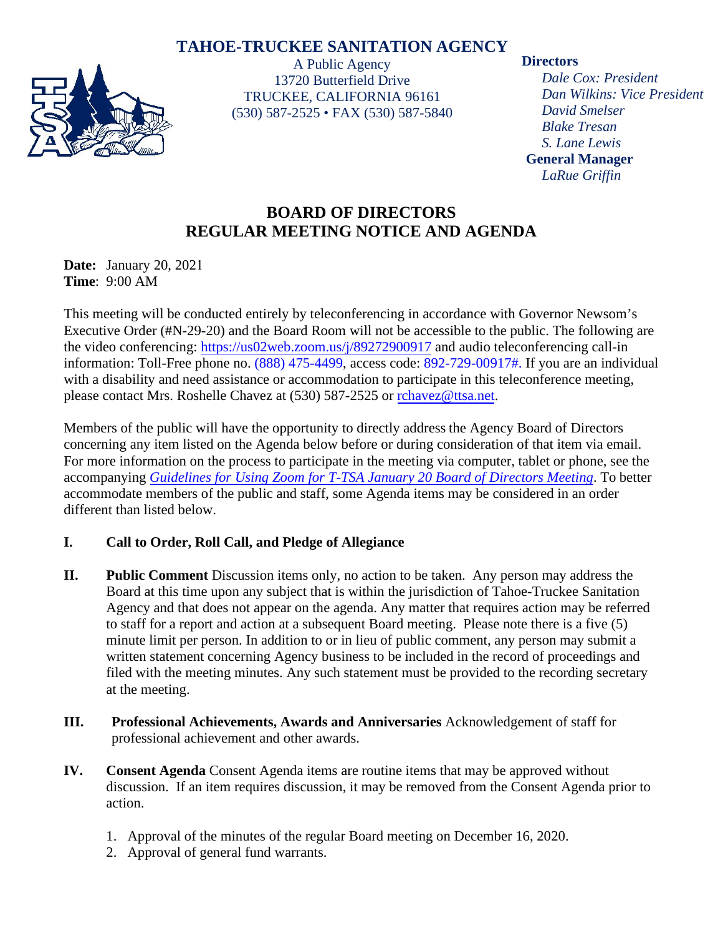# **TAHOE-TRUCKEE SANITATION AGENCY**



A Public Agency 13720 Butterfield Drive TRUCKEE, CALIFORNIA 96161 (530) 587-2525 • FAX (530) 587-5840

### **Directors**

*Dale Cox: President Dan Wilkins: Vice President David Smelser Blake Tresan S. Lane Lewis* **General Manager** *LaRue Griffin*

# **BOARD OF DIRECTORS REGULAR MEETING NOTICE AND AGENDA**

**Date:** January 20, 2021 **Time**: 9:00 AM

This meeting will be conducted entirely by teleconferencing in accordance with Governor Newsom's Executive Order (#N-29-20) and the Board Room will not be accessible to the public. The following are the video conferencing: <https://us02web.zoom.us/j/89272900917>and audio teleconferencing call-in information: Toll-Free phone no. (888) 475-4499, access code: 892-729-00917#. If you are an individual with a disability and need assistance or accommodation to participate in this teleconference meeting, please contact Mrs. Roshelle Chavez at (530) 587-2525 or [rchavez@ttsa.net.](mailto:rchavez@ttsa.net)

Members of the public will have the opportunity to directly address the Agency Board of Directors concerning any item listed on the Agenda below before or during consideration of that item via email. For more information on the process to participate in the meeting via computer, tablet or phone, see the accompanying *Guidelines for Using Zoom for T-TSA January 20 Board of Directors Meeting*. To better accommodate members of the public and staff, some Agenda items may be considered in an order different than listed below.

## **I. Call to Order, Roll Call, and Pledge of Allegiance**

- **II. Public Comment** Discussion items only, no action to be taken. Any person may address the Board at this time upon any subject that is within the jurisdiction of Tahoe-Truckee Sanitation Agency and that does not appear on the agenda. Any matter that requires action may be referred to staff for a report and action at a subsequent Board meeting. Please note there is a five (5) minute limit per person. In addition to or in lieu of public comment, any person may submit a written statement concerning Agency business to be included in the record of proceedings and filed with the meeting minutes. Any such statement must be provided to the recording secretary at the meeting.
- **III. Professional Achievements, Awards and Anniversaries** Acknowledgement of staff for professional achievement and other awards.
- **IV. Consent Agenda** Consent Agenda items are routine items that may be approved without discussion. If an item requires discussion, it may be removed from the Consent Agenda prior to action.
	- 1. Approval of the minutes of the regular Board meeting on December 16, 2020.
	- 2. Approval of general fund warrants.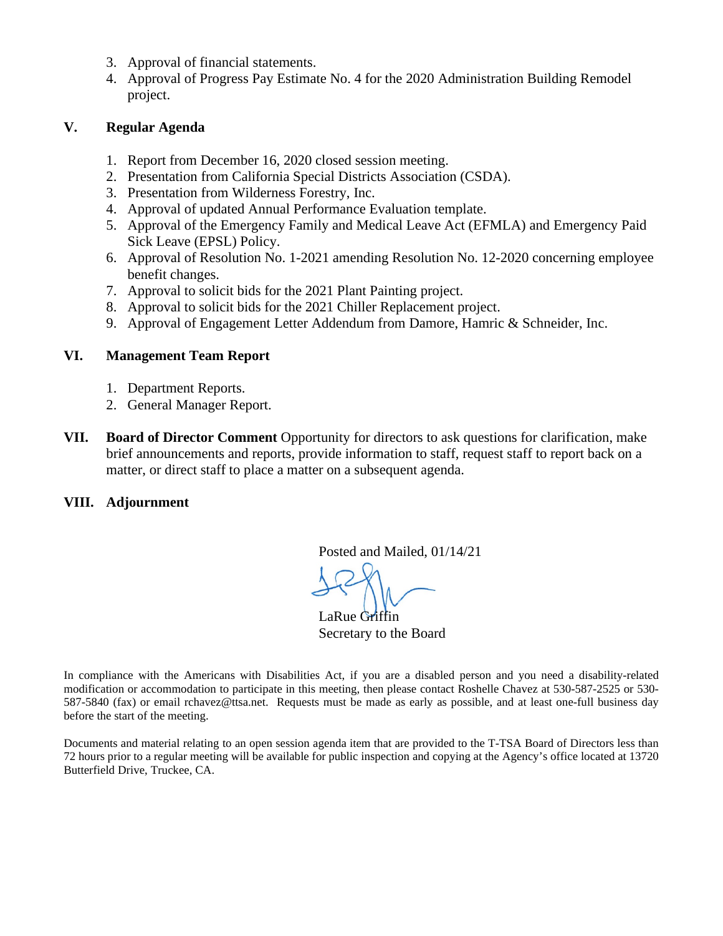- 3. Approval of financial statements.
- 4. Approval of Progress Pay Estimate No. 4 for the 2020 Administration Building Remodel project.

### **V. Regular Agenda**

- 1. Report from December 16, 2020 closed session meeting.
- 2. Presentation from California Special Districts Association (CSDA).
- 3. Presentation from Wilderness Forestry, Inc.
- 4. Approval of updated Annual Performance Evaluation template.
- 5. Approval of the Emergency Family and Medical Leave Act (EFMLA) and Emergency Paid Sick Leave (EPSL) Policy.
- 6. Approval of Resolution No. 1-2021 amending Resolution No. 12-2020 concerning employee benefit changes.
- 7. Approval to solicit bids for the 2021 Plant Painting project.
- 8. Approval to solicit bids for the 2021 Chiller Replacement project.
- 9. Approval of Engagement Letter Addendum from Damore, Hamric & Schneider, Inc.

### **VI. Management Team Report**

- 1. Department Reports.
- 2. General Manager Report.
- **VII. Board of Director Comment** Opportunity for directors to ask questions for clarification, make brief announcements and reports, provide information to staff, request staff to report back on a matter, or direct staff to place a matter on a subsequent agenda.

### **VIII. Adjournment**

Posted and Mailed, 01/14/21

 $\overline{\phantom{a}}$ 

LaRue Griffin Secretary to the Board

In compliance with the Americans with Disabilities Act, if you are a disabled person and you need a disability-related modification or accommodation to participate in this meeting, then please contact Roshelle Chavez at 530-587-2525 or 530- 587-5840 (fax) or email rchavez@ttsa.net. Requests must be made as early as possible, and at least one-full business day before the start of the meeting.

Documents and material relating to an open session agenda item that are provided to the T-TSA Board of Directors less than 72 hours prior to a regular meeting will be available for public inspection and copying at the Agency's office located at 13720 Butterfield Drive, Truckee, CA.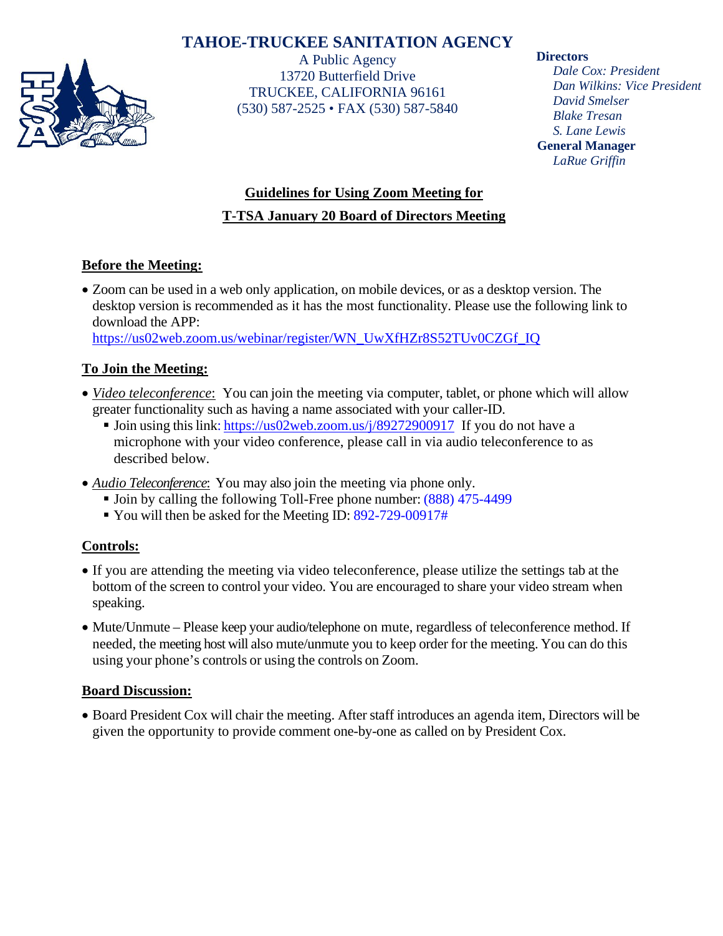## **TAHOE-TRUCKEE SANITATION AGENCY**



A Public Agency 13720 Butterfield Drive TRUCKEE, CALIFORNIA 96161 (530) 587-2525 • FAX (530) 587-5840 **Directors**

*Dale Cox: President Dan Wilkins: Vice President David Smelser Blake Tresan S. Lane Lewis* **General Manager** *LaRue Griffin*

# **Guidelines for Using Zoom Meeting for T-TSA January 20 Board of Directors Meeting**

## **Before the Meeting:**

• Zoom can be used in a web only application, on mobile devices, or as a desktop version. The desktop version is recommended as it has the most functionality. Please use the following link to download the APP:

[https://us02web.zoom.us/webinar/register/WN\\_UwXfHZr8S52TUv0CZGf\\_IQ](https://us02web.zoom.us/webinar/register/WN_UwXfHZr8S52TUv0CZGf_IQ)

## **To Join the Meeting:**

- *Video teleconference*: You can join the meeting via computer, tablet, or phone which will allow greater functionality such as having a name associated with your caller-ID.
	- Join using this link: <https://us02web.zoom.us/j/89272900917> If you do not have a microphone with your video conference, please call in via audio teleconference to as described below.
- *Audio Teleconference*: You may also join the meeting via phone only.
	- Join by calling the following Toll-Free phone number: (888) 475-4499
	- You will then be asked for the Meeting ID: 892-729-00917#

## **Controls:**

- If you are attending the meeting via video teleconference, please utilize the settings tab at the bottom of the screen to control your video. You are encouraged to share your video stream when speaking.
- Mute/Unmute Please keep your audio/telephone on mute, regardless of teleconference method. If needed, the meeting host will also mute/unmute you to keep order for the meeting. You can do this using your phone's controls or using the controls on Zoom.

## **Board Discussion:**

• Board President Cox will chair the meeting. After staff introduces an agenda item, Directors will be given the opportunity to provide comment one-by-one as called on by President Cox.